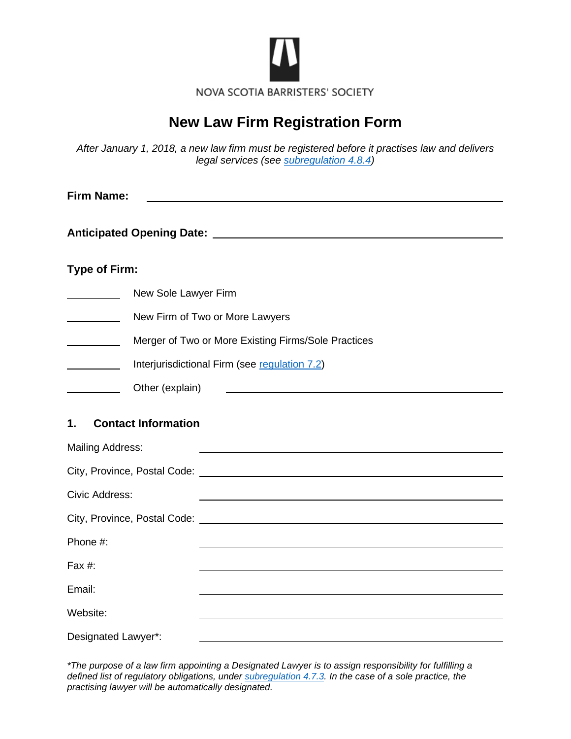

# **New Law Firm Registration Form**

*After January 1, 2018, a new law firm must be registered before it practises law and delivers legal services (see [subregulation 4.8.4\)](https://nsbs.org/wp-content/uploads/2019/11/NSBSRegulations.pdf)*

| <b>Firm Name:</b>                          |                                                     |  |  |  |  |
|--------------------------------------------|-----------------------------------------------------|--|--|--|--|
|                                            |                                                     |  |  |  |  |
| <b>Type of Firm:</b>                       |                                                     |  |  |  |  |
| <u>and a strong that the strong strong</u> | New Sole Lawyer Firm                                |  |  |  |  |
|                                            | New Firm of Two or More Lawyers                     |  |  |  |  |
|                                            | Merger of Two or More Existing Firms/Sole Practices |  |  |  |  |
|                                            | Interjurisdictional Firm (see regulation 7.2)       |  |  |  |  |
|                                            | Other (explain)                                     |  |  |  |  |
| <b>Contact Information</b><br>1.           |                                                     |  |  |  |  |
| <b>Mailing Address:</b>                    |                                                     |  |  |  |  |
|                                            |                                                     |  |  |  |  |
| Civic Address:                             |                                                     |  |  |  |  |
|                                            |                                                     |  |  |  |  |
| Phone #:                                   |                                                     |  |  |  |  |
| Fax #:                                     |                                                     |  |  |  |  |
| Email:                                     |                                                     |  |  |  |  |
| Website:                                   |                                                     |  |  |  |  |
| Designated Lawyer*:                        |                                                     |  |  |  |  |

*\*The purpose of a law firm appointing a Designated Lawyer is to assign responsibility for fulfilling a defined list of regulatory obligations, under [subregulation 4.7.3.](https://nsbs.org/wp-content/uploads/2019/11/NSBSRegulations.pdf) In the case of a sole practice, the practising lawyer will be automatically designated.*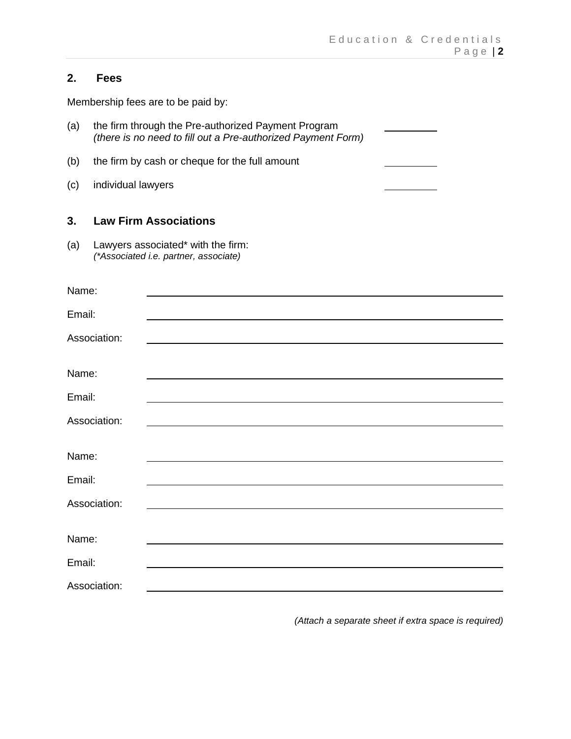## **2. Fees**

Membership fees are to be paid by:

- (a) the firm through the Pre-authorized Payment Program *(there is no need to fill out a Pre-authorized Payment Form)*
- (b) the firm by cash or cheque for the full amount
- (c) individual lawyers

#### **3. Law Firm Associations**

(a) Lawyers associated\* with the firm: *(\*Associated i.e. partner, associate)*

| Name:        |  |
|--------------|--|
| Email:       |  |
| Association: |  |
| Name:        |  |
| Email:       |  |
| Association: |  |
| Name:        |  |
| Email:       |  |
| Association: |  |
| Name:        |  |
| Email:       |  |
| Association: |  |
|              |  |

*(Attach a separate sheet if extra space is required)*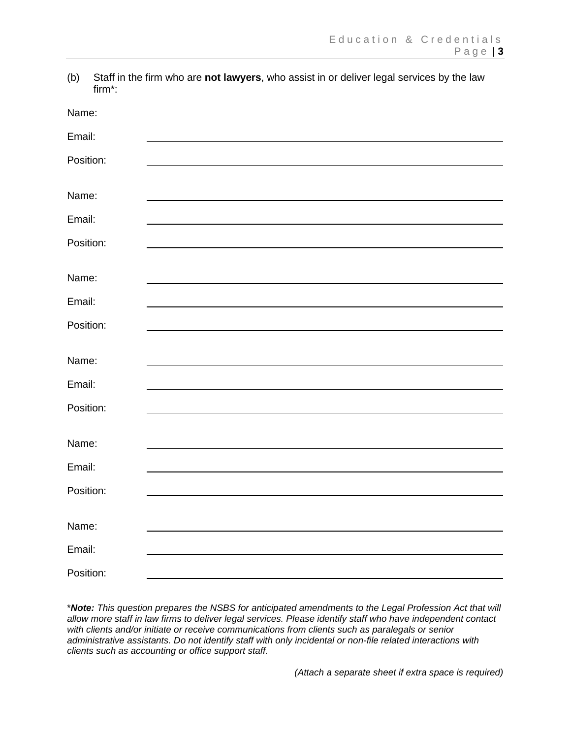(b) Staff in the firm who are **not lawyers**, who assist in or deliver legal services by the law firm\*:

| Name:     |  |
|-----------|--|
| Email:    |  |
| Position: |  |
|           |  |
| Name:     |  |
| Email:    |  |
| Position: |  |
|           |  |
| Name:     |  |
| Email:    |  |
| Position: |  |
|           |  |
| Name:     |  |
| Email:    |  |
| Position: |  |
|           |  |
| Name:     |  |
| Email:    |  |
| Position: |  |
|           |  |
| Name:     |  |
| Email:    |  |
| Position: |  |

\**Note: This question prepares the NSBS for anticipated amendments to the Legal Profession Act that will allow more staff in law firms to deliver legal services. Please identify staff who have independent contact with clients and/or initiate or receive communications from clients such as paralegals or senior administrative assistants. Do not identify staff with only incidental or non-file related interactions with clients such as accounting or office support staff.* 

*(Attach a separate sheet if extra space is required)*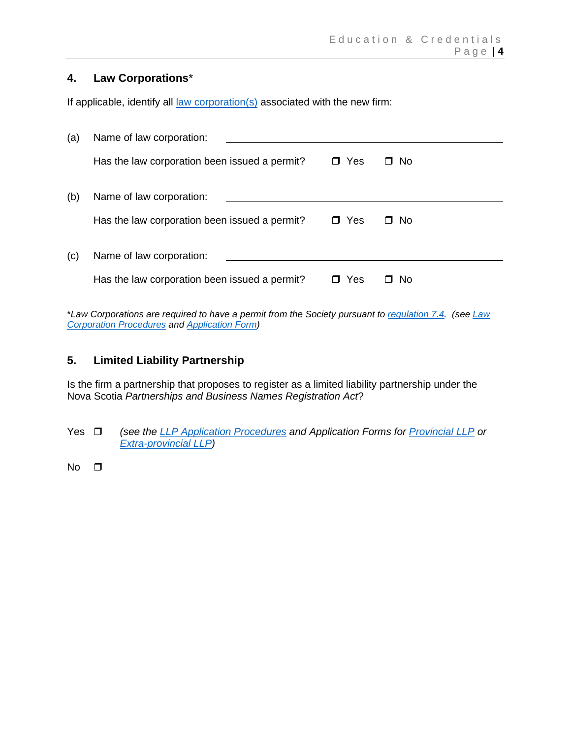## **4. Law Corporations**\*

If applicable, identify all <u>law [corporation\(s\)](https://nsbs.org/legal-profession/your-practice/membership/law-corporations-limited-liability-partnerships/)</u> associated with the new firm:

| (a) | Name of law corporation:                      |               |          |
|-----|-----------------------------------------------|---------------|----------|
|     | Has the law corporation been issued a permit? | Yes<br>$\Box$ | No.<br>□ |
| (b) | Name of law corporation:                      |               |          |
|     | Has the law corporation been issued a permit? | Yes<br>П.     | No.<br>П |
| (C) | Name of law corporation:                      |               |          |
|     | Has the law corporation been issued a permit? | Yes           | -No      |

\**Law Corporations are required to have a permit from the Society pursuant to [regulation 7.4.](https://nsbs.org/wp-content/uploads/2019/11/NSBSRegulations.pdf) (see [Law](https://nsbs.org/wp-content/uploads/2019/11/Law-Corporation-Procedures.pdf)  [Corporation Procedures](https://nsbs.org/wp-content/uploads/2019/11/Law-Corporation-Procedures.pdf) and [Application Form\)](https://nsbs.org/wp-content/uploads/2019/11/Application-for-Law-Corporation-Permit.pdf)*

#### **5. Limited Liability Partnership**

Is the firm a partnership that proposes to register as a limited liability partnership under the Nova Scotia *Partnerships and Business Names Registration Act*?

- Yes *(see the [LLP Application Procedures](https://nsbs.org/wp-content/uploads/2019/11/LLPProcedures.pdf) and Application Forms for [Provincial LLP](https://nsbs.org/wp-content/uploads/2019/11/LLPApplication.pdf) or [Extra-provincial LLP\)](https://nsbs.org/wp-content/uploads/2019/11/LLPExtraProvApp.pdf)*
- $No$   $\Box$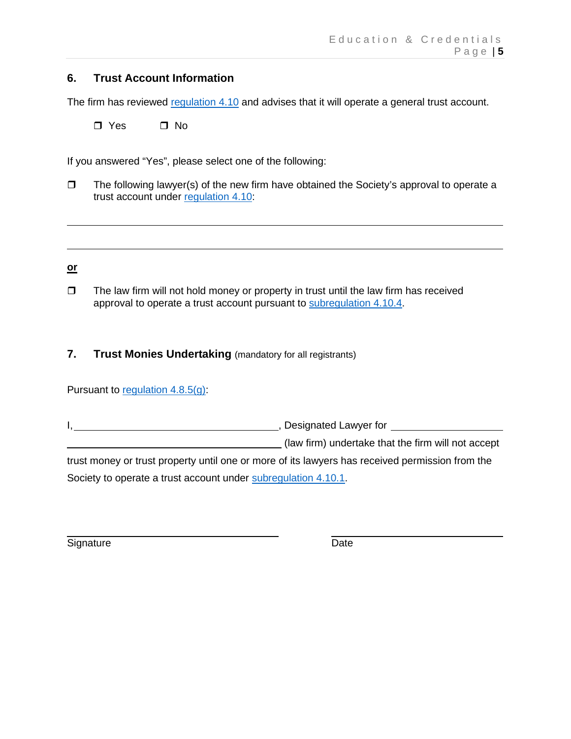## **6. Trust Account Information**

The firm has reviewed [regulation 4.10](https://nsbs.org/wp-content/uploads/2019/11/NSBSRegulations.pdf) and advises that it will operate a general trust account.

 $\Box$  Yes  $\Box$  No

If you answered "Yes", please select one of the following:

 $\Box$  The following lawyer(s) of the new firm have obtained the Society's approval to operate a trust account under [regulation 4.10:](https://nsbs.org/wp-content/uploads/2019/11/NSBSRegulations.pdf)

#### **or**

 $\Box$  The law firm will not hold money or property in trust until the law firm has received approval to operate a trust account pursuant to [subregulation 4.10.4.](https://nsbs.org/wp-content/uploads/2019/11/NSBSRegulations.pdf)

## **7. Trust Monies Undertaking** (mandatory for all registrants)

Pursuant to [regulation 4.8.5\(g\):](https://nsbs.org/wp-content/uploads/2019/11/NSBSRegulations.pdf)

I, , Designated Lawyer for (law firm) undertake that the firm will not accept trust money or trust property until one or more of its lawyers has received permission from the Society to operate a trust account under [subregulation 4.10.1.](https://nsbs.org/wp-content/uploads/2019/11/NSBSRegulations.pdf)

Signature Date